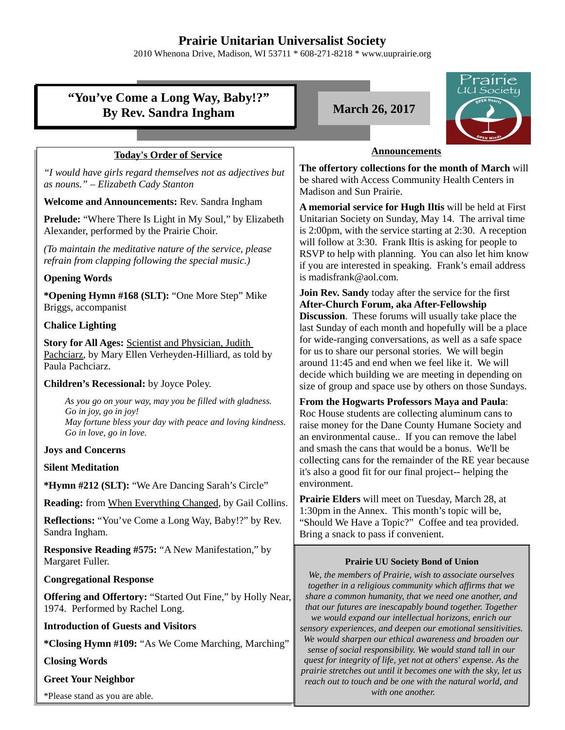## **Prairie Unitarian Universalist Society**

2010 Whenona Drive, Madison, WI 53711 \* 608-271-8218 \* www.uuprairie.org

|                                                                                                                                                                           | rairie                                                                                                                                                                                                                                                                                              |  |
|---------------------------------------------------------------------------------------------------------------------------------------------------------------------------|-----------------------------------------------------------------------------------------------------------------------------------------------------------------------------------------------------------------------------------------------------------------------------------------------------|--|
| "You've Come a Long Way, Baby!?"<br><b>By Rev. Sandra Ingham</b>                                                                                                          | UU Society<br><b>March 26, 2017</b>                                                                                                                                                                                                                                                                 |  |
|                                                                                                                                                                           |                                                                                                                                                                                                                                                                                                     |  |
| <b>Today's Order of Service</b>                                                                                                                                           | <b>Announcements</b>                                                                                                                                                                                                                                                                                |  |
| "I would have girls regard themselves not as adjectives but<br>as nouns." - Elizabeth Cady Stanton                                                                        | The offertory collections for the month of March will<br>be shared with Access Community Health Centers in<br>Madison and Sun Prairie.                                                                                                                                                              |  |
| Welcome and Announcements: Rev. Sandra Ingham                                                                                                                             | A memorial service for Hugh Iltis will be held at First                                                                                                                                                                                                                                             |  |
| <b>Prelude:</b> "Where There Is Light in My Soul," by Elizabeth<br>Alexander, performed by the Prairie Choir.                                                             | Unitarian Society on Sunday, May 14. The arrival time<br>is 2:00pm, with the service starting at 2:30. A reception<br>will follow at 3:30. Frank Iltis is asking for people to<br>RSVP to help with planning. You can also let him know<br>if you are interested in speaking. Frank's email address |  |
| (To maintain the meditative nature of the service, please<br>refrain from clapping following the special music.)                                                          |                                                                                                                                                                                                                                                                                                     |  |
| <b>Opening Words</b>                                                                                                                                                      | is madisfrank@aol.com.                                                                                                                                                                                                                                                                              |  |
| *Opening Hymn #168 (SLT): "One More Step" Mike<br>Briggs, accompanist                                                                                                     | <b>Join Rev. Sandy</b> today after the service for the first<br>After-Church Forum, aka After-Fellowship                                                                                                                                                                                            |  |
| <b>Chalice Lighting</b>                                                                                                                                                   | <b>Discussion.</b> These forums will usually take place the<br>last Sunday of each month and hopefully will be a place                                                                                                                                                                              |  |
| <b>Story for All Ages: Scientist and Physician, Judith</b><br>Pachciarz, by Mary Ellen Verheyden-Hilliard, as told by<br>Paula Pachciarz.                                 | for wide-ranging conversations, as well as a safe space<br>for us to share our personal stories. We will begin<br>around 11:45 and end when we feel like it. We will<br>decide which building we are meeting in depending on                                                                        |  |
| Children's Recessional: by Joyce Poley.                                                                                                                                   | size of group and space use by others on those Sundays.                                                                                                                                                                                                                                             |  |
| As you go on your way, may you be filled with gladness.<br>Go in joy, go in joy!<br>May fortune bless your day with peace and loving kindness.<br>Go in love, go in love. | From the Hogwarts Professors Maya and Paula:<br>Roc House students are collecting aluminum cans to<br>raise money for the Dane County Humane Society and<br>an environmental cause If you can remove the label                                                                                      |  |
| <b>Joys and Concerns</b>                                                                                                                                                  | and smash the cans that would be a bonus. We'll be                                                                                                                                                                                                                                                  |  |
| <b>Silent Meditation</b>                                                                                                                                                  | collecting cans for the remainder of the RE year because<br>it's also a good fit for our final project-- helping the                                                                                                                                                                                |  |
| *Hymn #212 (SLT): "We Are Dancing Sarah's Circle"                                                                                                                         | environment.                                                                                                                                                                                                                                                                                        |  |
| Reading: from When Everything Changed, by Gail Collins.                                                                                                                   | Prairie Elders will meet on Tuesday, March 28, at                                                                                                                                                                                                                                                   |  |
| Reflections: "You've Come a Long Way, Baby!?" by Rev.<br>Sandra Ingham.                                                                                                   | 1:30pm in the Annex. This month's topic will be,<br>"Should We Have a Topic?" Coffee and tea provided.<br>Bring a snack to pass if convenient.                                                                                                                                                      |  |
| <b>Responsive Reading #575: "A New Manifestation," by</b><br>Margaret Fuller.                                                                                             | <b>Prairie UU Society Bond of Union</b>                                                                                                                                                                                                                                                             |  |
| <b>Congregational Response</b>                                                                                                                                            | We, the members of Prairie, wish to associate ourselves<br>together in a religious community which affirms that we                                                                                                                                                                                  |  |
| Offering and Offertory: "Started Out Fine," by Holly Near,<br>1974. Performed by Rachel Long.                                                                             | share a common humanity, that we need one another, and<br>that our futures are inescapably bound together. Together<br>we would expand our intellectual horizons, enrich our                                                                                                                        |  |
| <b>Introduction of Guests and Visitors</b>                                                                                                                                | sensory experiences, and deepen our emotional sensitivities.                                                                                                                                                                                                                                        |  |
| *Closing Hymn #109: "As We Come Marching, Marching"                                                                                                                       | We would sharpen our ethical awareness and broaden our<br>sense of social responsibility. We would stand tall in our                                                                                                                                                                                |  |
| <b>Closing Words</b>                                                                                                                                                      | quest for integrity of life, yet not at others' expense. As the                                                                                                                                                                                                                                     |  |
| <b>Greet Your Neighbor</b>                                                                                                                                                | prairie stretches out until it becomes one with the sky, let us<br>reach out to touch and be one with the natural world, and                                                                                                                                                                        |  |
| $*Dloop$ stand as you are able                                                                                                                                            | with one another.                                                                                                                                                                                                                                                                                   |  |

\*Please stand as you are able.